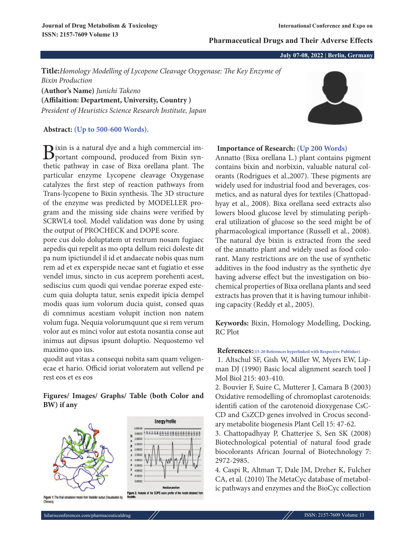#### **Pharmaceutical Drugs and Their Adverse Effects**

**July 07-08, 2022 | Berlin, Germany**

**Title:***Homology Modelling of Lycopene Cleavage Oxygenase: The Key Enzyme of Bixin Production* **(Author's Name)** *Junichi Takeno*

**(Affilaition: Department, University, Country )** *President of Heuristics Science Research Institute, Japan*

### **Abstract: (Up to 500-600 Words).**

Bixin is a natural dye and a high commercial im-<br>portant compound, produced from Bixin synthetic pathway in case of Bixa orellana plant. The particular enzyme Lycopene cleavage Oxygenase catalyzes the first step of reaction pathways from Trans-lycopene to Bixin synthesis. The 3D structure of the enzyme was predicted by MODELLER program and the missing side chains were verified by SCRWL4 tool. Model validation was done by using the output of PROCHECK and DOPE score.

pore cus dolo doluptatem ut restrum nosam fugiaec aepedis qui repelit as mo opta dellum reici doleste dit pa num ipictiundel il id et andaecate nobis quas num rem ad et ex experspide necae sant et fugiatio et esse vendel imus, sincto in cus aceprem porehenti acest, sediscius cum quodi qui vendae porerae exped estecum quia dolupta tatur, senis expedit ipicia dempel modis quas ium volorum ducia quist, consed quas di comnimus acestiam volupit inction non natem volum fuga. Nequia volorumquunt que si rem verum volor aut es minci volor aut estota nosantia conse aut inimus aut dipsus ipsunt doluptio. Nequostemo vel maximo quo ius.

quodit aut vitas a consequi nobita sam quam veligenecae et hario. Officid ioriat voloratem aut vellend pe rest eos et es eos

# **Figures/ Images/ Graphs/ Table (both Color and BW) if any**



# **Importance of Research: (Up 200 Words)**

Annatto (Bixa orellana L.) plant contains pigment contains bixin and norbixin, valuable natural colorants (Rodrigues et al.,2007). These pigments are widely used for industrial food and beverages, cosmetics, and as natural dyes for textiles (Chattopadhyay et al., 2008). Bixa orellana seed extracts also lowers blood glucose level by stimulating peripheral utilization of glucose so the seed might be of pharmacological importance (Russell et al., 2008). The natural dye bixin is extracted from the seed of the annatto plant and widely used as food colorant. Many restrictions are on the use of synthetic additives in the food industry as the synthetic dye having adverse effect but the investigation on biochemical properties of Bixa orellana plants and seed extracts has proven that it is having tumour inhibiting capacity (Reddy et al., 2005).

**Keywords:** Bixin, Homology Modelling, Docking, RC Plot

#### **References:(15-20 References hyperlinked with Respective Publisher)**

1. Altschul SF, Gish W, Miller W, Myers EW, Lipman DJ (1990) Basic local alignment search tool J Mol Biol 215: 403-410.

2. Bouvier F, Suire C, Mutterer J, Camara B (2003) Oxidative remodelling of chromoplast carotenoids: identifi cation of the carotenoid dioxygenase CsC-CD and CsZCD genes involved in Crocus secondary metabolite biogenesis Plant Cell 15: 47-62.

3. Chattopadhyay P, Chatterjee S, Sen SK (2008) Biotechnological potential of natural food grade biocolorants African Journal of Biotechnology 7: 2972-2985.

4. Caspi R, Altman T, Dale JM, Dreher K, Fulcher CA, et al. (2010) The MetaCyc database of metabolic pathways and enzymes and the BioCyc collection



hilarisconferences.com/pharmaceuticaldrug // ISSN: 2157-7609 Volume 13